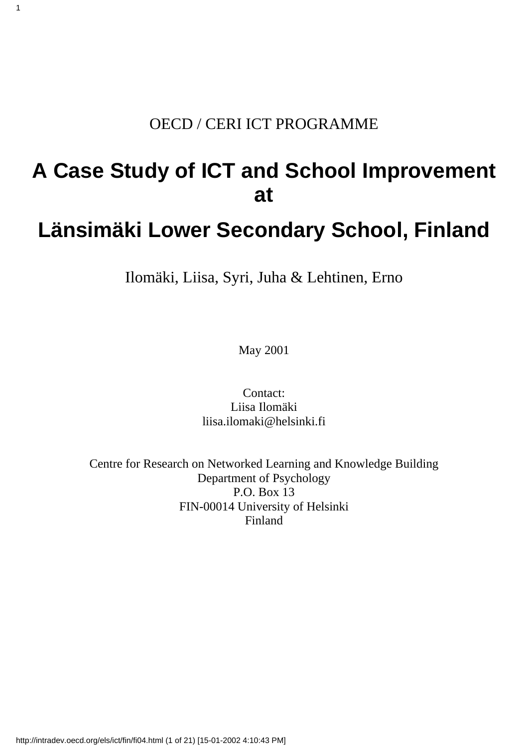#### OECD / CERI ICT PROGRAMME

1

#### **A Case Study of ICT and School Improvement at**

#### **Länsimäki Lower Secondary School, Finland**

Ilomäki, Liisa, Syri, Juha & Lehtinen, Erno

May 2001

Contact: Liisa Ilomäki liisa.ilomaki@helsinki.fi

Centre for Research on Networked Learning and Knowledge Building Department of Psychology P.O. Box 13 FIN-00014 University of Helsinki Finland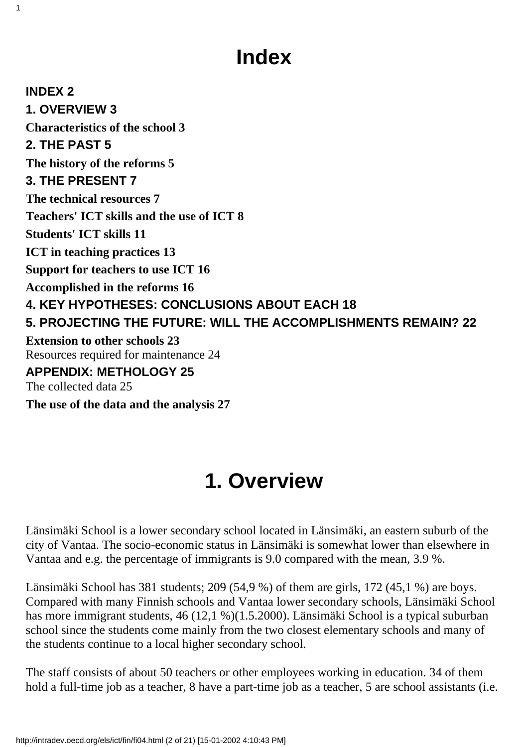# **Index**

**INDEX 2 1. OVERVIEW 3 Characteristics of the school 3 2. THE PAST 5 The history of the reforms 5 3. THE PRESENT 7 The technical resources 7 Teachers' ICT skills and the use of ICT 8 Students' ICT skills 11 ICT in teaching practices 13 Support for teachers to use ICT 16 Accomplished in the reforms 16 4. KEY HYPOTHESES: CONCLUSIONS ABOUT EACH 18 5. PROJECTING THE FUTURE: WILL THE ACCOMPLISHMENTS REMAIN? 22 Extension to other schools 23** Resources required for maintenance 24 **APPENDIX: METHOLOGY 25** The collected data 25

**The use of the data and the analysis 27**

1

# **1. Overview**

Länsimäki School is a lower secondary school located in Länsimäki, an eastern suburb of the city of Vantaa. The socio-economic status in Länsimäki is somewhat lower than elsewhere in Vantaa and e.g. the percentage of immigrants is 9.0 compared with the mean, 3.9 %.

Länsimäki School has 381 students; 209 (54,9 %) of them are girls, 172 (45,1 %) are boys. Compared with many Finnish schools and Vantaa lower secondary schools, Länsimäki School has more immigrant students, 46 (12,1 %)(1.5.2000). Länsimäki School is a typical suburban school since the students come mainly from the two closest elementary schools and many of the students continue to a local higher secondary school.

The staff consists of about 50 teachers or other employees working in education. 34 of them hold a full-time job as a teacher, 8 have a part-time job as a teacher, 5 are school assistants (i.e.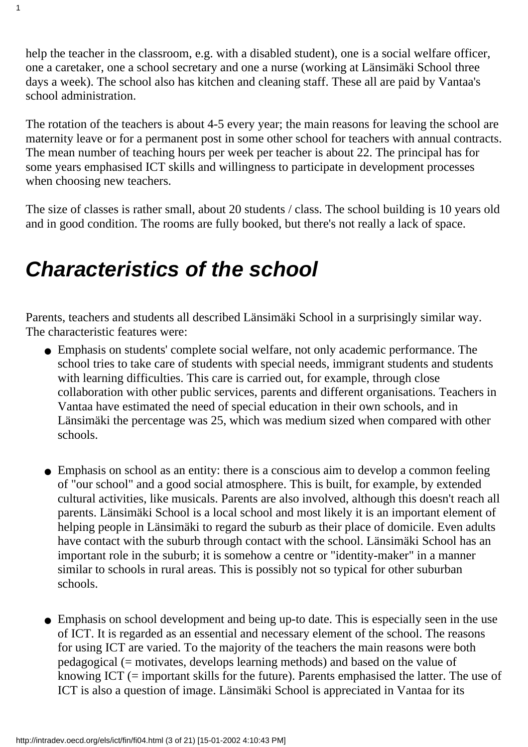help the teacher in the classroom, e.g. with a disabled student), one is a social welfare officer, one a caretaker, one a school secretary and one a nurse (working at Länsimäki School three days a week). The school also has kitchen and cleaning staff. These all are paid by Vantaa's school administration.

The rotation of the teachers is about 4-5 every year; the main reasons for leaving the school are maternity leave or for a permanent post in some other school for teachers with annual contracts. The mean number of teaching hours per week per teacher is about 22. The principal has for some years emphasised ICT skills and willingness to participate in development processes when choosing new teachers.

The size of classes is rather small, about 20 students / class. The school building is 10 years old and in good condition. The rooms are fully booked, but there's not really a lack of space.

# *Characteristics of the school*

1

Parents, teachers and students all described Länsimäki School in a surprisingly similar way. The characteristic features were:

- Emphasis on students' complete social welfare, not only academic performance. The school tries to take care of students with special needs, immigrant students and students with learning difficulties. This care is carried out, for example, through close collaboration with other public services, parents and different organisations. Teachers in Vantaa have estimated the need of special education in their own schools, and in Länsimäki the percentage was 25, which was medium sized when compared with other schools.
- Emphasis on school as an entity: there is a conscious aim to develop a common feeling of "our school" and a good social atmosphere. This is built, for example, by extended cultural activities, like musicals. Parents are also involved, although this doesn't reach all parents. Länsimäki School is a local school and most likely it is an important element of helping people in Länsimäki to regard the suburb as their place of domicile. Even adults have contact with the suburb through contact with the school. Länsimäki School has an important role in the suburb; it is somehow a centre or "identity-maker" in a manner similar to schools in rural areas. This is possibly not so typical for other suburban schools.
- Emphasis on school development and being up-to date. This is especially seen in the use of ICT. It is regarded as an essential and necessary element of the school. The reasons for using ICT are varied. To the majority of the teachers the main reasons were both pedagogical (= motivates, develops learning methods) and based on the value of knowing ICT (= important skills for the future). Parents emphasised the latter. The use of ICT is also a question of image. Länsimäki School is appreciated in Vantaa for its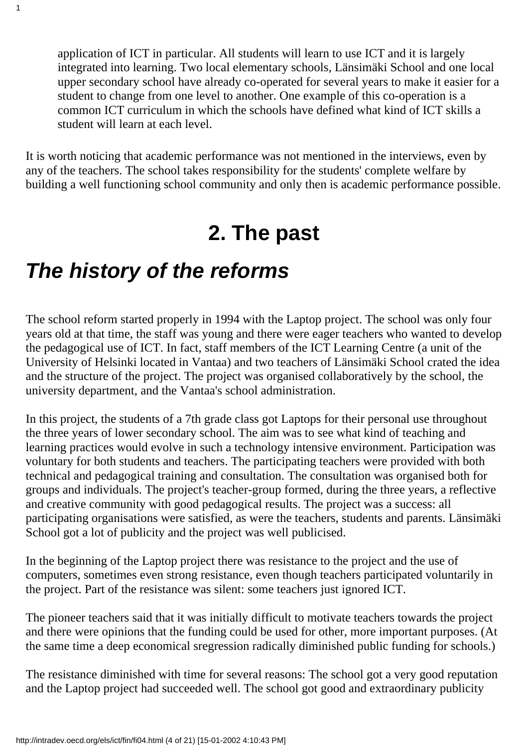application of ICT in particular. All students will learn to use ICT and it is largely integrated into learning. Two local elementary schools, Länsimäki School and one local upper secondary school have already co-operated for several years to make it easier for a student to change from one level to another. One example of this co-operation is a common ICT curriculum in which the schools have defined what kind of ICT skills a student will learn at each level.

It is worth noticing that academic performance was not mentioned in the interviews, even by any of the teachers. The school takes responsibility for the students' complete welfare by building a well functioning school community and only then is academic performance possible.

### **2. The past**

# *The history of the reforms*

1

The school reform started properly in 1994 with the Laptop project. The school was only four years old at that time, the staff was young and there were eager teachers who wanted to develop the pedagogical use of ICT. In fact, staff members of the ICT Learning Centre (a unit of the University of Helsinki located in Vantaa) and two teachers of Länsimäki School crated the idea and the structure of the project. The project was organised collaboratively by the school, the university department, and the Vantaa's school administration.

In this project, the students of a 7th grade class got Laptops for their personal use throughout the three years of lower secondary school. The aim was to see what kind of teaching and learning practices would evolve in such a technology intensive environment. Participation was voluntary for both students and teachers. The participating teachers were provided with both technical and pedagogical training and consultation. The consultation was organised both for groups and individuals. The project's teacher-group formed, during the three years, a reflective and creative community with good pedagogical results. The project was a success: all participating organisations were satisfied, as were the teachers, students and parents. Länsimäki School got a lot of publicity and the project was well publicised.

In the beginning of the Laptop project there was resistance to the project and the use of computers, sometimes even strong resistance, even though teachers participated voluntarily in the project. Part of the resistance was silent: some teachers just ignored ICT.

The pioneer teachers said that it was initially difficult to motivate teachers towards the project and there were opinions that the funding could be used for other, more important purposes. (At the same time a deep economical sregression radically diminished public funding for schools.)

The resistance diminished with time for several reasons: The school got a very good reputation and the Laptop project had succeeded well. The school got good and extraordinary publicity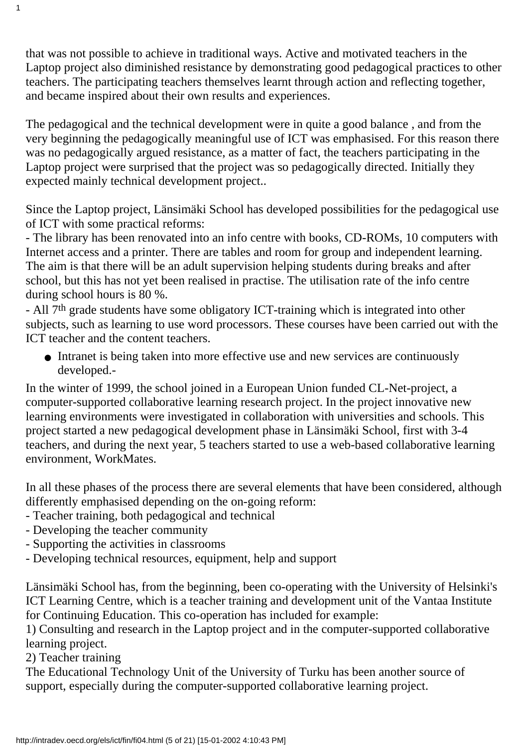that was not possible to achieve in traditional ways. Active and motivated teachers in the Laptop project also diminished resistance by demonstrating good pedagogical practices to other teachers. The participating teachers themselves learnt through action and reflecting together, and became inspired about their own results and experiences.

The pedagogical and the technical development were in quite a good balance , and from the very beginning the pedagogically meaningful use of ICT was emphasised. For this reason there was no pedagogically argued resistance, as a matter of fact, the teachers participating in the Laptop project were surprised that the project was so pedagogically directed. Initially they expected mainly technical development project..

Since the Laptop project, Länsimäki School has developed possibilities for the pedagogical use of ICT with some practical reforms:

- The library has been renovated into an info centre with books, CD-ROMs, 10 computers with Internet access and a printer. There are tables and room for group and independent learning. The aim is that there will be an adult supervision helping students during breaks and after school, but this has not yet been realised in practise. The utilisation rate of the info centre during school hours is 80 %.

- All 7th grade students have some obligatory ICT-training which is integrated into other subjects, such as learning to use word processors. These courses have been carried out with the ICT teacher and the content teachers.

• Intranet is being taken into more effective use and new services are continuously developed.-

In the winter of 1999, the school joined in a European Union funded CL-Net-project, a computer-supported collaborative learning research project. In the project innovative new learning environments were investigated in collaboration with universities and schools. This project started a new pedagogical development phase in Länsimäki School, first with 3-4 teachers, and during the next year, 5 teachers started to use a web-based collaborative learning environment, WorkMates.

In all these phases of the process there are several elements that have been considered, although differently emphasised depending on the on-going reform:

- Teacher training, both pedagogical and technical
- Developing the teacher community
- Supporting the activities in classrooms
- Developing technical resources, equipment, help and support

Länsimäki School has, from the beginning, been co-operating with the University of Helsinki's ICT Learning Centre, which is a teacher training and development unit of the Vantaa Institute for Continuing Education. This co-operation has included for example:

1) Consulting and research in the Laptop project and in the computer-supported collaborative learning project.

2) Teacher training

1

The Educational Technology Unit of the University of Turku has been another source of support, especially during the computer-supported collaborative learning project.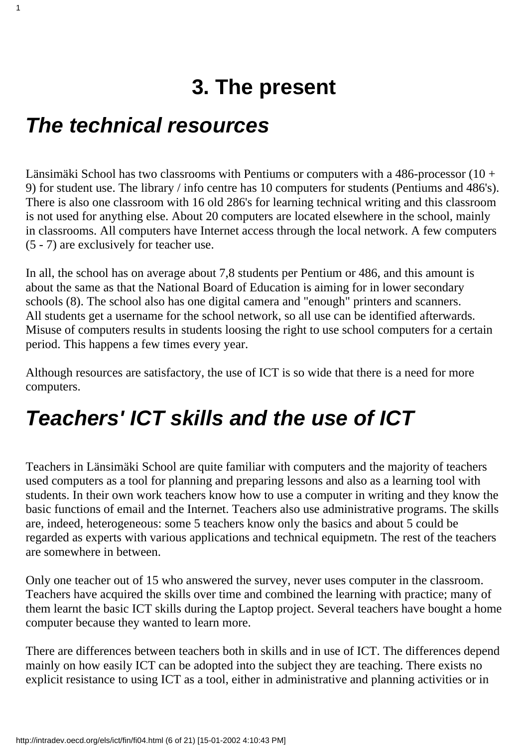# **3. The present**

### *The technical resources*

1

Länsimäki School has two classrooms with Pentiums or computers with a 486-processor (10 + 9) for student use. The library / info centre has 10 computers for students (Pentiums and 486's). There is also one classroom with 16 old 286's for learning technical writing and this classroom is not used for anything else. About 20 computers are located elsewhere in the school, mainly in classrooms. All computers have Internet access through the local network. A few computers (5 - 7) are exclusively for teacher use.

In all, the school has on average about 7,8 students per Pentium or 486, and this amount is about the same as that the National Board of Education is aiming for in lower secondary schools (8). The school also has one digital camera and "enough" printers and scanners. All students get a username for the school network, so all use can be identified afterwards. Misuse of computers results in students loosing the right to use school computers for a certain period. This happens a few times every year.

Although resources are satisfactory, the use of ICT is so wide that there is a need for more computers.

# *Teachers' ICT skills and the use of ICT*

Teachers in Länsimäki School are quite familiar with computers and the majority of teachers used computers as a tool for planning and preparing lessons and also as a learning tool with students. In their own work teachers know how to use a computer in writing and they know the basic functions of email and the Internet. Teachers also use administrative programs. The skills are, indeed, heterogeneous: some 5 teachers know only the basics and about 5 could be regarded as experts with various applications and technical equipmetn. The rest of the teachers are somewhere in between.

Only one teacher out of 15 who answered the survey, never uses computer in the classroom. Teachers have acquired the skills over time and combined the learning with practice; many of them learnt the basic ICT skills during the Laptop project. Several teachers have bought a home computer because they wanted to learn more.

There are differences between teachers both in skills and in use of ICT. The differences depend mainly on how easily ICT can be adopted into the subject they are teaching. There exists no explicit resistance to using ICT as a tool, either in administrative and planning activities or in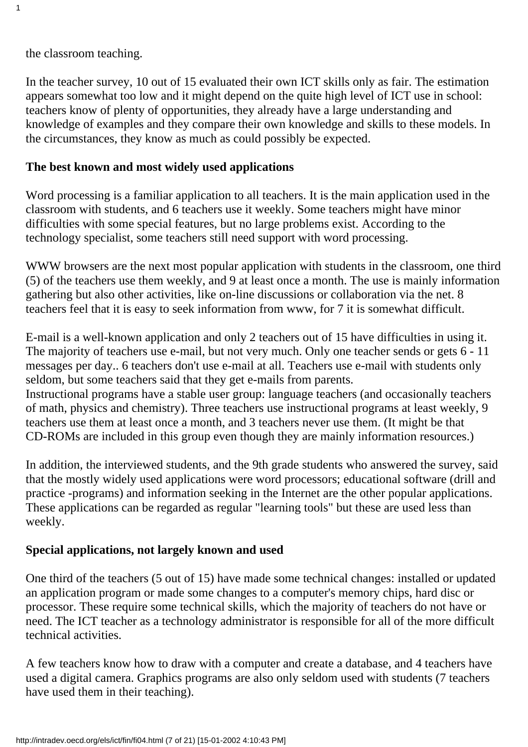the classroom teaching.

1

In the teacher survey, 10 out of 15 evaluated their own ICT skills only as fair. The estimation appears somewhat too low and it might depend on the quite high level of ICT use in school: teachers know of plenty of opportunities, they already have a large understanding and knowledge of examples and they compare their own knowledge and skills to these models. In the circumstances, they know as much as could possibly be expected.

#### **The best known and most widely used applications**

Word processing is a familiar application to all teachers. It is the main application used in the classroom with students, and 6 teachers use it weekly. Some teachers might have minor difficulties with some special features, but no large problems exist. According to the technology specialist, some teachers still need support with word processing.

WWW browsers are the next most popular application with students in the classroom, one third (5) of the teachers use them weekly, and 9 at least once a month. The use is mainly information gathering but also other activities, like on-line discussions or collaboration via the net. 8 teachers feel that it is easy to seek information from www, for 7 it is somewhat difficult.

E-mail is a well-known application and only 2 teachers out of 15 have difficulties in using it. The majority of teachers use e-mail, but not very much. Only one teacher sends or gets 6 - 11 messages per day.. 6 teachers don't use e-mail at all. Teachers use e-mail with students only seldom, but some teachers said that they get e-mails from parents. Instructional programs have a stable user group: language teachers (and occasionally teachers

of math, physics and chemistry). Three teachers use instructional programs at least weekly, 9 teachers use them at least once a month, and 3 teachers never use them. (It might be that CD-ROMs are included in this group even though they are mainly information resources.)

In addition, the interviewed students, and the 9th grade students who answered the survey, said that the mostly widely used applications were word processors; educational software (drill and practice -programs) and information seeking in the Internet are the other popular applications. These applications can be regarded as regular "learning tools" but these are used less than weekly.

#### **Special applications, not largely known and used**

One third of the teachers (5 out of 15) have made some technical changes: installed or updated an application program or made some changes to a computer's memory chips, hard disc or processor. These require some technical skills, which the majority of teachers do not have or need. The ICT teacher as a technology administrator is responsible for all of the more difficult technical activities.

A few teachers know how to draw with a computer and create a database, and 4 teachers have used a digital camera. Graphics programs are also only seldom used with students (7 teachers have used them in their teaching).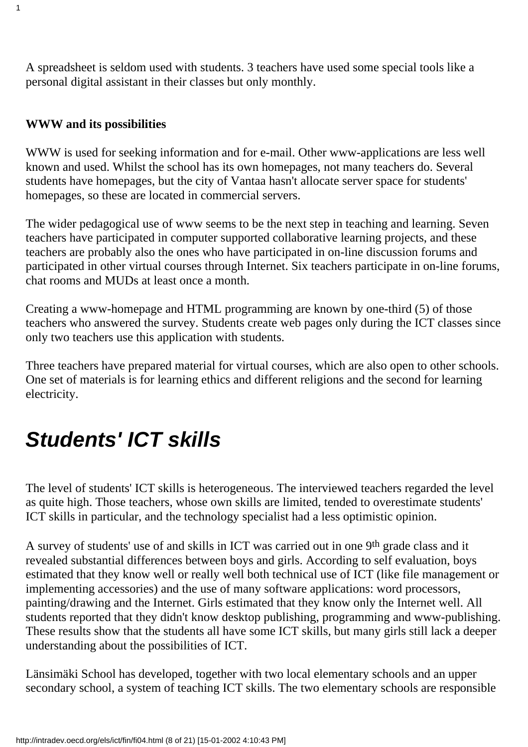A spreadsheet is seldom used with students. 3 teachers have used some special tools like a personal digital assistant in their classes but only monthly.

#### **WWW and its possibilities**

1

WWW is used for seeking information and for e-mail. Other www-applications are less well known and used. Whilst the school has its own homepages, not many teachers do. Several students have homepages, but the city of Vantaa hasn't allocate server space for students' homepages, so these are located in commercial servers.

The wider pedagogical use of www seems to be the next step in teaching and learning. Seven teachers have participated in computer supported collaborative learning projects, and these teachers are probably also the ones who have participated in on-line discussion forums and participated in other virtual courses through Internet. Six teachers participate in on-line forums, chat rooms and MUDs at least once a month.

Creating a www-homepage and HTML programming are known by one-third (5) of those teachers who answered the survey. Students create web pages only during the ICT classes since only two teachers use this application with students.

Three teachers have prepared material for virtual courses, which are also open to other schools. One set of materials is for learning ethics and different religions and the second for learning electricity.

# *Students' ICT skills*

The level of students' ICT skills is heterogeneous. The interviewed teachers regarded the level as quite high. Those teachers, whose own skills are limited, tended to overestimate students' ICT skills in particular, and the technology specialist had a less optimistic opinion.

A survey of students' use of and skills in ICT was carried out in one 9th grade class and it revealed substantial differences between boys and girls. According to self evaluation, boys estimated that they know well or really well both technical use of ICT (like file management or implementing accessories) and the use of many software applications: word processors, painting/drawing and the Internet. Girls estimated that they know only the Internet well. All students reported that they didn't know desktop publishing, programming and www-publishing. These results show that the students all have some ICT skills, but many girls still lack a deeper understanding about the possibilities of ICT.

Länsimäki School has developed, together with two local elementary schools and an upper secondary school, a system of teaching ICT skills. The two elementary schools are responsible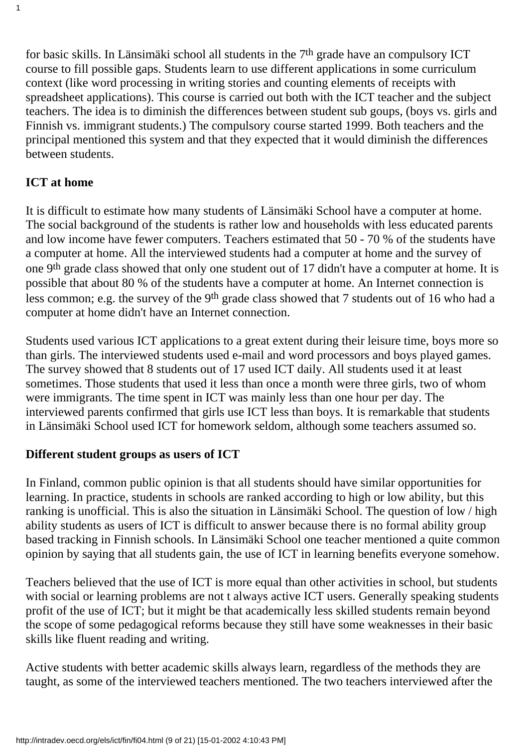for basic skills. In Länsimäki school all students in the 7th grade have an compulsory ICT course to fill possible gaps. Students learn to use different applications in some curriculum context (like word processing in writing stories and counting elements of receipts with spreadsheet applications). This course is carried out both with the ICT teacher and the subject teachers. The idea is to diminish the differences between student sub goups, (boys vs. girls and Finnish vs. immigrant students.) The compulsory course started 1999. Both teachers and the principal mentioned this system and that they expected that it would diminish the differences between students.

#### **ICT at home**

1

It is difficult to estimate how many students of Länsimäki School have a computer at home. The social background of the students is rather low and households with less educated parents and low income have fewer computers. Teachers estimated that 50 - 70 % of the students have a computer at home. All the interviewed students had a computer at home and the survey of one 9th grade class showed that only one student out of 17 didn't have a computer at home. It is possible that about 80 % of the students have a computer at home. An Internet connection is less common; e.g. the survey of the 9th grade class showed that 7 students out of 16 who had a computer at home didn't have an Internet connection.

Students used various ICT applications to a great extent during their leisure time, boys more so than girls. The interviewed students used e-mail and word processors and boys played games. The survey showed that 8 students out of 17 used ICT daily. All students used it at least sometimes. Those students that used it less than once a month were three girls, two of whom were immigrants. The time spent in ICT was mainly less than one hour per day. The interviewed parents confirmed that girls use ICT less than boys. It is remarkable that students in Länsimäki School used ICT for homework seldom, although some teachers assumed so.

#### **Different student groups as users of ICT**

In Finland, common public opinion is that all students should have similar opportunities for learning. In practice, students in schools are ranked according to high or low ability, but this ranking is unofficial. This is also the situation in Länsimäki School. The question of low / high ability students as users of ICT is difficult to answer because there is no formal ability group based tracking in Finnish schools. In Länsimäki School one teacher mentioned a quite common opinion by saying that all students gain, the use of ICT in learning benefits everyone somehow.

Teachers believed that the use of ICT is more equal than other activities in school, but students with social or learning problems are not t always active ICT users. Generally speaking students profit of the use of ICT; but it might be that academically less skilled students remain beyond the scope of some pedagogical reforms because they still have some weaknesses in their basic skills like fluent reading and writing.

Active students with better academic skills always learn, regardless of the methods they are taught, as some of the interviewed teachers mentioned. The two teachers interviewed after the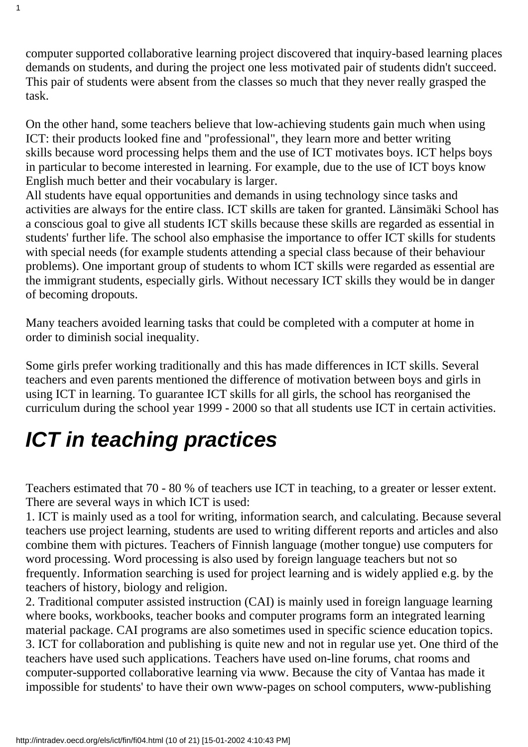computer supported collaborative learning project discovered that inquiry-based learning places demands on students, and during the project one less motivated pair of students didn't succeed. This pair of students were absent from the classes so much that they never really grasped the task.

On the other hand, some teachers believe that low-achieving students gain much when using ICT: their products looked fine and "professional", they learn more and better writing skills because word processing helps them and the use of ICT motivates boys. ICT helps boys in particular to become interested in learning. For example, due to the use of ICT boys know English much better and their vocabulary is larger.

All students have equal opportunities and demands in using technology since tasks and activities are always for the entire class. ICT skills are taken for granted. Länsimäki School has a conscious goal to give all students ICT skills because these skills are regarded as essential in students' further life. The school also emphasise the importance to offer ICT skills for students with special needs (for example students attending a special class because of their behaviour problems). One important group of students to whom ICT skills were regarded as essential are the immigrant students, especially girls. Without necessary ICT skills they would be in danger of becoming dropouts.

Many teachers avoided learning tasks that could be completed with a computer at home in order to diminish social inequality.

Some girls prefer working traditionally and this has made differences in ICT skills. Several teachers and even parents mentioned the difference of motivation between boys and girls in using ICT in learning. To guarantee ICT skills for all girls, the school has reorganised the curriculum during the school year 1999 - 2000 so that all students use ICT in certain activities.

# *ICT in teaching practices*

1

Teachers estimated that 70 - 80 % of teachers use ICT in teaching, to a greater or lesser extent. There are several ways in which ICT is used:

1. ICT is mainly used as a tool for writing, information search, and calculating. Because several teachers use project learning, students are used to writing different reports and articles and also combine them with pictures. Teachers of Finnish language (mother tongue) use computers for word processing. Word processing is also used by foreign language teachers but not so frequently. Information searching is used for project learning and is widely applied e.g. by the teachers of history, biology and religion.

2. Traditional computer assisted instruction (CAI) is mainly used in foreign language learning where books, workbooks, teacher books and computer programs form an integrated learning material package. CAI programs are also sometimes used in specific science education topics. 3. ICT for collaboration and publishing is quite new and not in regular use yet. One third of the teachers have used such applications. Teachers have used on-line forums, chat rooms and computer-supported collaborative learning via www. Because the city of Vantaa has made it impossible for students' to have their own www-pages on school computers, www-publishing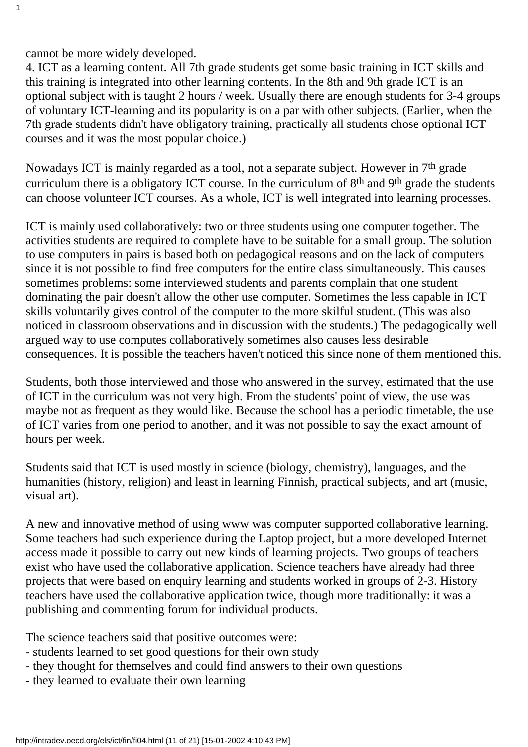cannot be more widely developed.

1

4. ICT as a learning content. All 7th grade students get some basic training in ICT skills and this training is integrated into other learning contents. In the 8th and 9th grade ICT is an optional subject with is taught 2 hours / week. Usually there are enough students for 3-4 groups of voluntary ICT-learning and its popularity is on a par with other subjects. (Earlier, when the 7th grade students didn't have obligatory training, practically all students chose optional ICT courses and it was the most popular choice.)

Nowadays ICT is mainly regarded as a tool, not a separate subject. However in 7th grade curriculum there is a obligatory ICT course. In the curriculum of 8th and 9th grade the students can choose volunteer ICT courses. As a whole, ICT is well integrated into learning processes.

ICT is mainly used collaboratively: two or three students using one computer together. The activities students are required to complete have to be suitable for a small group. The solution to use computers in pairs is based both on pedagogical reasons and on the lack of computers since it is not possible to find free computers for the entire class simultaneously. This causes sometimes problems: some interviewed students and parents complain that one student dominating the pair doesn't allow the other use computer. Sometimes the less capable in ICT skills voluntarily gives control of the computer to the more skilful student. (This was also noticed in classroom observations and in discussion with the students.) The pedagogically well argued way to use computes collaboratively sometimes also causes less desirable consequences. It is possible the teachers haven't noticed this since none of them mentioned this.

Students, both those interviewed and those who answered in the survey, estimated that the use of ICT in the curriculum was not very high. From the students' point of view, the use was maybe not as frequent as they would like. Because the school has a periodic timetable, the use of ICT varies from one period to another, and it was not possible to say the exact amount of hours per week.

Students said that ICT is used mostly in science (biology, chemistry), languages, and the humanities (history, religion) and least in learning Finnish, practical subjects, and art (music, visual art).

A new and innovative method of using www was computer supported collaborative learning. Some teachers had such experience during the Laptop project, but a more developed Internet access made it possible to carry out new kinds of learning projects. Two groups of teachers exist who have used the collaborative application. Science teachers have already had three projects that were based on enquiry learning and students worked in groups of 2-3. History teachers have used the collaborative application twice, though more traditionally: it was a publishing and commenting forum for individual products.

The science teachers said that positive outcomes were:

- students learned to set good questions for their own study
- they thought for themselves and could find answers to their own questions
- they learned to evaluate their own learning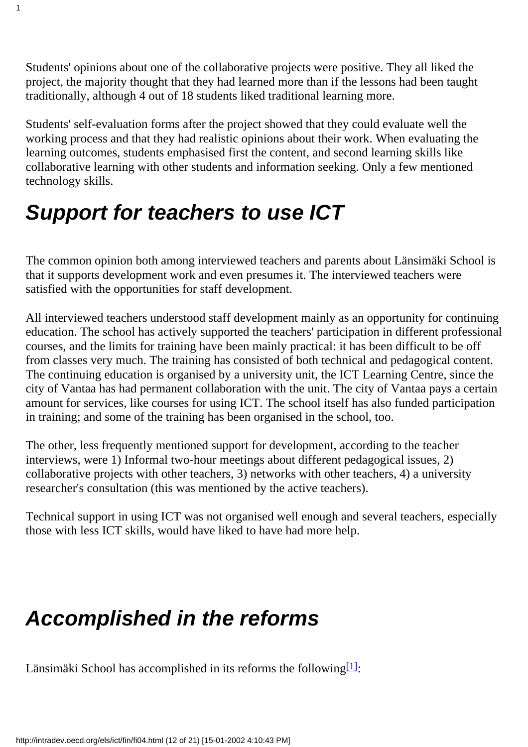Students' opinions about one of the collaborative projects were positive. They all liked the project, the majority thought that they had learned more than if the lessons had been taught traditionally, although 4 out of 18 students liked traditional learning more.

Students' self-evaluation forms after the project showed that they could evaluate well the working process and that they had realistic opinions about their work. When evaluating the learning outcomes, students emphasised first the content, and second learning skills like collaborative learning with other students and information seeking. Only a few mentioned technology skills.

# *Support for teachers to use ICT*

1

The common opinion both among interviewed teachers and parents about Länsimäki School is that it supports development work and even presumes it. The interviewed teachers were satisfied with the opportunities for staff development.

All interviewed teachers understood staff development mainly as an opportunity for continuing education. The school has actively supported the teachers' participation in different professional courses, and the limits for training have been mainly practical: it has been difficult to be off from classes very much. The training has consisted of both technical and pedagogical content. The continuing education is organised by a university unit, the ICT Learning Centre, since the city of Vantaa has had permanent collaboration with the unit. The city of Vantaa pays a certain amount for services, like courses for using ICT. The school itself has also funded participation in training; and some of the training has been organised in the school, too.

The other, less frequently mentioned support for development, according to the teacher interviews, were 1) Informal two-hour meetings about different pedagogical issues, 2) collaborative projects with other teachers, 3) networks with other teachers, 4) a university researcher's consultation (this was mentioned by the active teachers).

Technical support in using ICT was not organised well enough and several teachers, especially those with less ICT skills, would have liked to have had more help.

# *Accomplished in the reforms*

<span id="page-11-0"></span>Länsimäki School has accomplished in its reforms the following  $[1]$ :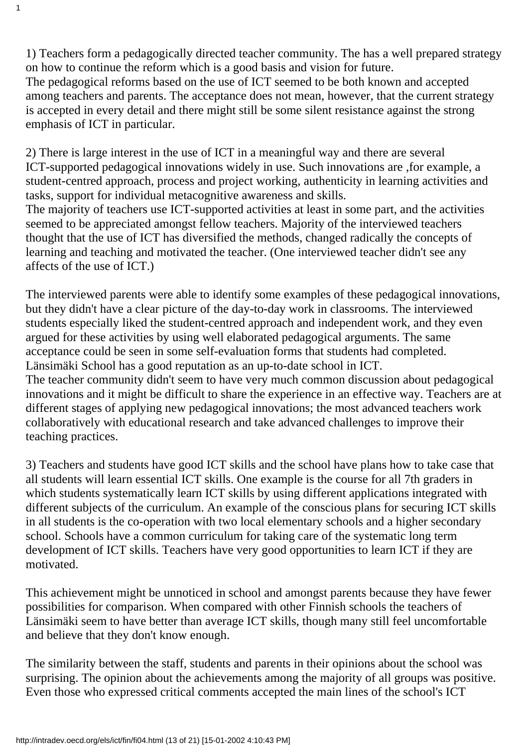1) Teachers form a pedagogically directed teacher community. The has a well prepared strategy on how to continue the reform which is a good basis and vision for future. The pedagogical reforms based on the use of ICT seemed to be both known and accepted among teachers and parents. The acceptance does not mean, however, that the current strategy is accepted in every detail and there might still be some silent resistance against the strong emphasis of ICT in particular.

1

2) There is large interest in the use of ICT in a meaningful way and there are several ICT-supported pedagogical innovations widely in use. Such innovations are ,for example, a student-centred approach, process and project working, authenticity in learning activities and tasks, support for individual metacognitive awareness and skills.

The majority of teachers use ICT-supported activities at least in some part, and the activities seemed to be appreciated amongst fellow teachers. Majority of the interviewed teachers thought that the use of ICT has diversified the methods, changed radically the concepts of learning and teaching and motivated the teacher. (One interviewed teacher didn't see any affects of the use of ICT.)

The interviewed parents were able to identify some examples of these pedagogical innovations, but they didn't have a clear picture of the day-to-day work in classrooms. The interviewed students especially liked the student-centred approach and independent work, and they even argued for these activities by using well elaborated pedagogical arguments. The same acceptance could be seen in some self-evaluation forms that students had completed. Länsimäki School has a good reputation as an up-to-date school in ICT.

The teacher community didn't seem to have very much common discussion about pedagogical innovations and it might be difficult to share the experience in an effective way. Teachers are at different stages of applying new pedagogical innovations; the most advanced teachers work collaboratively with educational research and take advanced challenges to improve their teaching practices.

3) Teachers and students have good ICT skills and the school have plans how to take case that all students will learn essential ICT skills. One example is the course for all 7th graders in which students systematically learn ICT skills by using different applications integrated with different subjects of the curriculum. An example of the conscious plans for securing ICT skills in all students is the co-operation with two local elementary schools and a higher secondary school. Schools have a common curriculum for taking care of the systematic long term development of ICT skills. Teachers have very good opportunities to learn ICT if they are motivated.

This achievement might be unnoticed in school and amongst parents because they have fewer possibilities for comparison. When compared with other Finnish schools the teachers of Länsimäki seem to have better than average ICT skills, though many still feel uncomfortable and believe that they don't know enough.

The similarity between the staff, students and parents in their opinions about the school was surprising. The opinion about the achievements among the majority of all groups was positive. Even those who expressed critical comments accepted the main lines of the school's ICT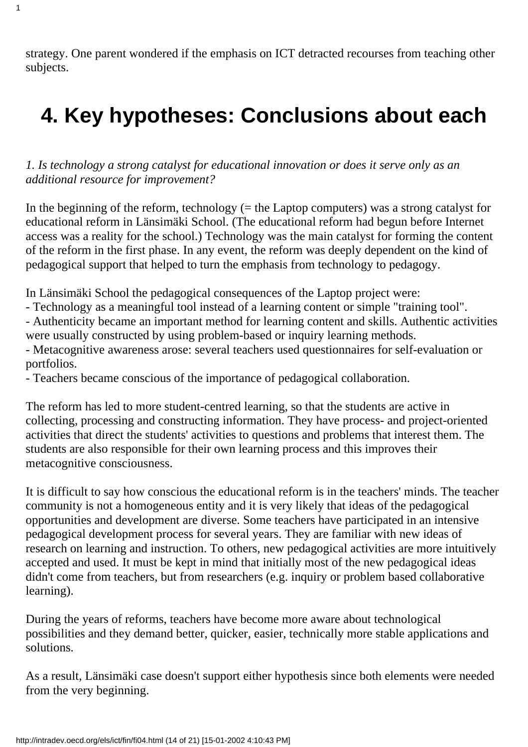strategy. One parent wondered if the emphasis on ICT detracted recourses from teaching other subjects.

1

# **4. Key hypotheses: Conclusions about each**

*1. Is technology a strong catalyst for educational innovation or does it serve only as an additional resource for improvement?*

In the beginning of the reform, technology  $(=$  the Laptop computers) was a strong catalyst for educational reform in Länsimäki School. (The educational reform had begun before Internet access was a reality for the school.) Technology was the main catalyst for forming the content of the reform in the first phase. In any event, the reform was deeply dependent on the kind of pedagogical support that helped to turn the emphasis from technology to pedagogy.

In Länsimäki School the pedagogical consequences of the Laptop project were:

- Technology as a meaningful tool instead of a learning content or simple "training tool".

- Authenticity became an important method for learning content and skills. Authentic activities were usually constructed by using problem-based or inquiry learning methods.

- Metacognitive awareness arose: several teachers used questionnaires for self-evaluation or portfolios.

- Teachers became conscious of the importance of pedagogical collaboration.

The reform has led to more student-centred learning, so that the students are active in collecting, processing and constructing information. They have process- and project-oriented activities that direct the students' activities to questions and problems that interest them. The students are also responsible for their own learning process and this improves their metacognitive consciousness.

It is difficult to say how conscious the educational reform is in the teachers' minds. The teacher community is not a homogeneous entity and it is very likely that ideas of the pedagogical opportunities and development are diverse. Some teachers have participated in an intensive pedagogical development process for several years. They are familiar with new ideas of research on learning and instruction. To others, new pedagogical activities are more intuitively accepted and used. It must be kept in mind that initially most of the new pedagogical ideas didn't come from teachers, but from researchers (e.g. inquiry or problem based collaborative learning).

During the years of reforms, teachers have become more aware about technological possibilities and they demand better, quicker, easier, technically more stable applications and solutions.

As a result, Länsimäki case doesn't support either hypothesis since both elements were needed from the very beginning.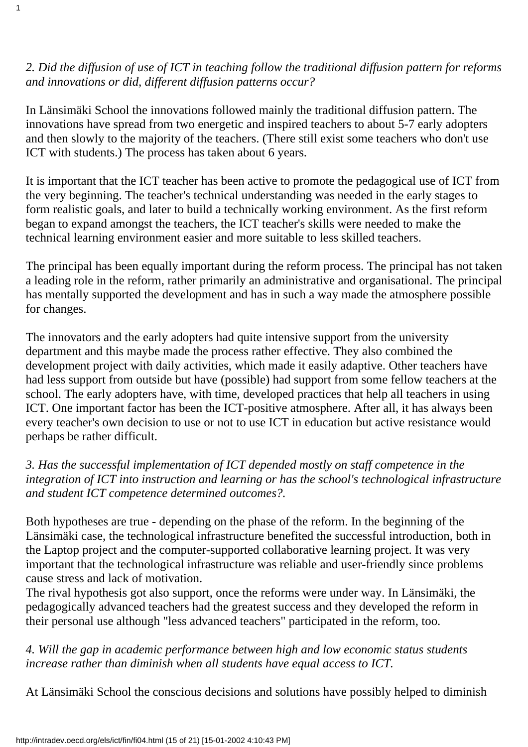*2. Did the diffusion of use of ICT in teaching follow the traditional diffusion pattern for reforms and innovations or did, different diffusion patterns occur?*

1

In Länsimäki School the innovations followed mainly the traditional diffusion pattern. The innovations have spread from two energetic and inspired teachers to about 5-7 early adopters and then slowly to the majority of the teachers. (There still exist some teachers who don't use ICT with students.) The process has taken about 6 years.

It is important that the ICT teacher has been active to promote the pedagogical use of ICT from the very beginning. The teacher's technical understanding was needed in the early stages to form realistic goals, and later to build a technically working environment. As the first reform began to expand amongst the teachers, the ICT teacher's skills were needed to make the technical learning environment easier and more suitable to less skilled teachers.

The principal has been equally important during the reform process. The principal has not taken a leading role in the reform, rather primarily an administrative and organisational. The principal has mentally supported the development and has in such a way made the atmosphere possible for changes.

The innovators and the early adopters had quite intensive support from the university department and this maybe made the process rather effective. They also combined the development project with daily activities, which made it easily adaptive. Other teachers have had less support from outside but have (possible) had support from some fellow teachers at the school. The early adopters have, with time, developed practices that help all teachers in using ICT. One important factor has been the ICT-positive atmosphere. After all, it has always been every teacher's own decision to use or not to use ICT in education but active resistance would perhaps be rather difficult.

#### *3. Has the successful implementation of ICT depended mostly on staff competence in the integration of ICT into instruction and learning or has the school's technological infrastructure and student ICT competence determined outcomes?.*

Both hypotheses are true - depending on the phase of the reform. In the beginning of the Länsimäki case, the technological infrastructure benefited the successful introduction, both in the Laptop project and the computer-supported collaborative learning project. It was very important that the technological infrastructure was reliable and user-friendly since problems cause stress and lack of motivation.

The rival hypothesis got also support, once the reforms were under way. In Länsimäki, the pedagogically advanced teachers had the greatest success and they developed the reform in their personal use although "less advanced teachers" participated in the reform, too.

*4. Will the gap in academic performance between high and low economic status students increase rather than diminish when all students have equal access to ICT.*

At Länsimäki School the conscious decisions and solutions have possibly helped to diminish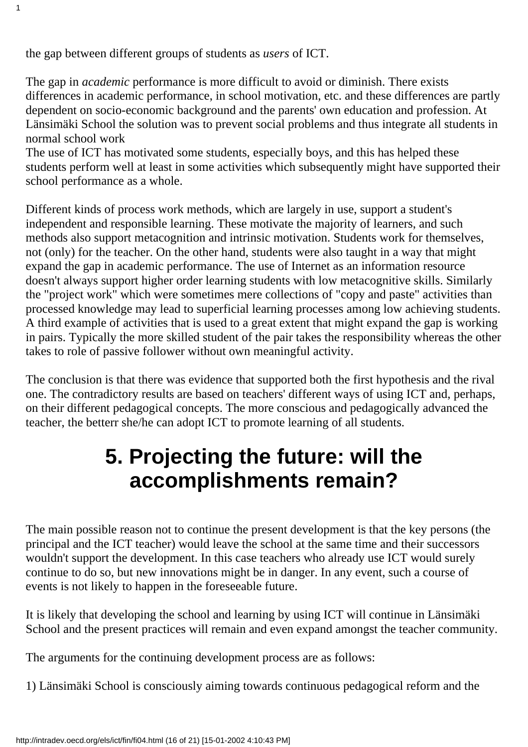the gap between different groups of students as *users* of ICT.

1

The gap in *academic* performance is more difficult to avoid or diminish. There exists differences in academic performance, in school motivation, etc. and these differences are partly dependent on socio-economic background and the parents' own education and profession. At Länsimäki School the solution was to prevent social problems and thus integrate all students in normal school work

The use of ICT has motivated some students, especially boys, and this has helped these students perform well at least in some activities which subsequently might have supported their school performance as a whole.

Different kinds of process work methods, which are largely in use, support a student's independent and responsible learning. These motivate the majority of learners, and such methods also support metacognition and intrinsic motivation. Students work for themselves, not (only) for the teacher. On the other hand, students were also taught in a way that might expand the gap in academic performance. The use of Internet as an information resource doesn't always support higher order learning students with low metacognitive skills. Similarly the "project work" which were sometimes mere collections of "copy and paste" activities than processed knowledge may lead to superficial learning processes among low achieving students. A third example of activities that is used to a great extent that might expand the gap is working in pairs. Typically the more skilled student of the pair takes the responsibility whereas the other takes to role of passive follower without own meaningful activity.

The conclusion is that there was evidence that supported both the first hypothesis and the rival one. The contradictory results are based on teachers' different ways of using ICT and, perhaps, on their different pedagogical concepts. The more conscious and pedagogically advanced the teacher, the betterr she/he can adopt ICT to promote learning of all students.

## **5. Projecting the future: will the accomplishments remain?**

The main possible reason not to continue the present development is that the key persons (the principal and the ICT teacher) would leave the school at the same time and their successors wouldn't support the development. In this case teachers who already use ICT would surely continue to do so, but new innovations might be in danger. In any event, such a course of events is not likely to happen in the foreseeable future.

It is likely that developing the school and learning by using ICT will continue in Länsimäki School and the present practices will remain and even expand amongst the teacher community.

The arguments for the continuing development process are as follows:

1) Länsimäki School is consciously aiming towards continuous pedagogical reform and the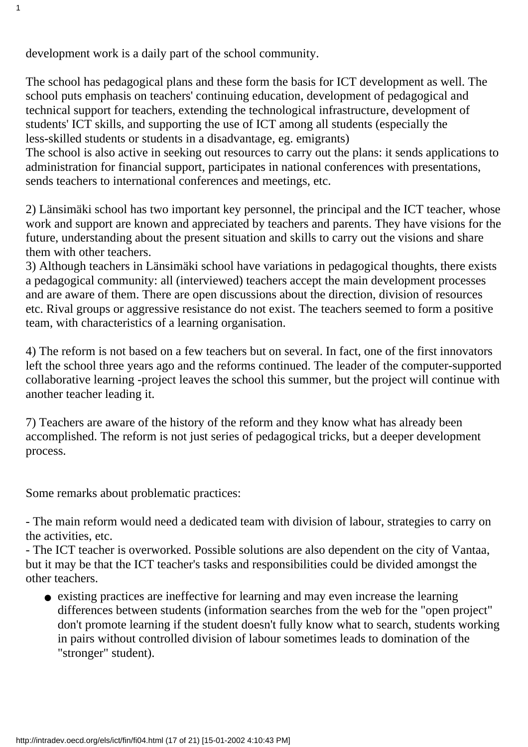development work is a daily part of the school community.

1

The school has pedagogical plans and these form the basis for ICT development as well. The school puts emphasis on teachers' continuing education, development of pedagogical and technical support for teachers, extending the technological infrastructure, development of students' ICT skills, and supporting the use of ICT among all students (especially the less-skilled students or students in a disadvantage, eg. emigrants)

The school is also active in seeking out resources to carry out the plans: it sends applications to administration for financial support, participates in national conferences with presentations, sends teachers to international conferences and meetings, etc.

2) Länsimäki school has two important key personnel, the principal and the ICT teacher, whose work and support are known and appreciated by teachers and parents. They have visions for the future, understanding about the present situation and skills to carry out the visions and share them with other teachers.

3) Although teachers in Länsimäki school have variations in pedagogical thoughts, there exists a pedagogical community: all (interviewed) teachers accept the main development processes and are aware of them. There are open discussions about the direction, division of resources etc. Rival groups or aggressive resistance do not exist. The teachers seemed to form a positive team, with characteristics of a learning organisation.

4) The reform is not based on a few teachers but on several. In fact, one of the first innovators left the school three years ago and the reforms continued. The leader of the computer-supported collaborative learning -project leaves the school this summer, but the project will continue with another teacher leading it.

7) Teachers are aware of the history of the reform and they know what has already been accomplished. The reform is not just series of pedagogical tricks, but a deeper development process.

Some remarks about problematic practices:

- The main reform would need a dedicated team with division of labour, strategies to carry on the activities, etc.

- The ICT teacher is overworked. Possible solutions are also dependent on the city of Vantaa, but it may be that the ICT teacher's tasks and responsibilities could be divided amongst the other teachers.

• existing practices are ineffective for learning and may even increase the learning differences between students (information searches from the web for the "open project" don't promote learning if the student doesn't fully know what to search, students working in pairs without controlled division of labour sometimes leads to domination of the "stronger" student).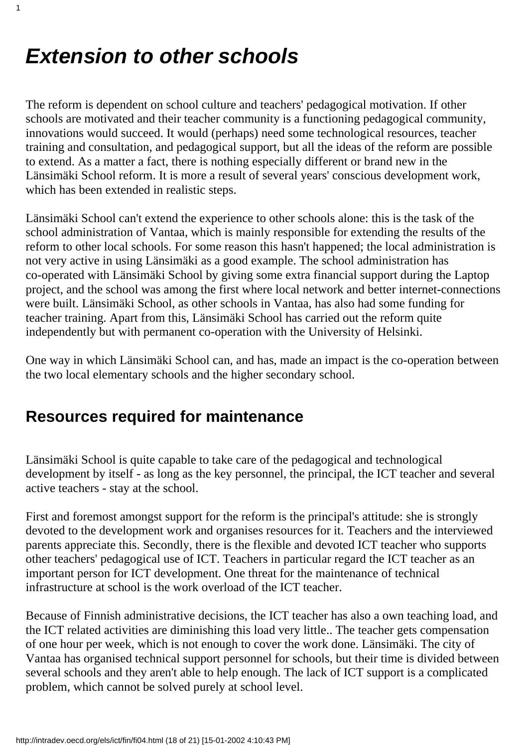## *Extension to other schools*

1

The reform is dependent on school culture and teachers' pedagogical motivation. If other schools are motivated and their teacher community is a functioning pedagogical community, innovations would succeed. It would (perhaps) need some technological resources, teacher training and consultation, and pedagogical support, but all the ideas of the reform are possible to extend. As a matter a fact, there is nothing especially different or brand new in the Länsimäki School reform. It is more a result of several years' conscious development work, which has been extended in realistic steps.

Länsimäki School can't extend the experience to other schools alone: this is the task of the school administration of Vantaa, which is mainly responsible for extending the results of the reform to other local schools. For some reason this hasn't happened; the local administration is not very active in using Länsimäki as a good example. The school administration has co-operated with Länsimäki School by giving some extra financial support during the Laptop project, and the school was among the first where local network and better internet-connections were built. Länsimäki School, as other schools in Vantaa, has also had some funding for teacher training. Apart from this, Länsimäki School has carried out the reform quite independently but with permanent co-operation with the University of Helsinki.

One way in which Länsimäki School can, and has, made an impact is the co-operation between the two local elementary schools and the higher secondary school.

#### **Resources required for maintenance**

Länsimäki School is quite capable to take care of the pedagogical and technological development by itself - as long as the key personnel, the principal, the ICT teacher and several active teachers - stay at the school.

First and foremost amongst support for the reform is the principal's attitude: she is strongly devoted to the development work and organises resources for it. Teachers and the interviewed parents appreciate this. Secondly, there is the flexible and devoted ICT teacher who supports other teachers' pedagogical use of ICT. Teachers in particular regard the ICT teacher as an important person for ICT development. One threat for the maintenance of technical infrastructure at school is the work overload of the ICT teacher.

Because of Finnish administrative decisions, the ICT teacher has also a own teaching load, and the ICT related activities are diminishing this load very little.. The teacher gets compensation of one hour per week, which is not enough to cover the work done. Länsimäki. The city of Vantaa has organised technical support personnel for schools, but their time is divided between several schools and they aren't able to help enough. The lack of ICT support is a complicated problem, which cannot be solved purely at school level.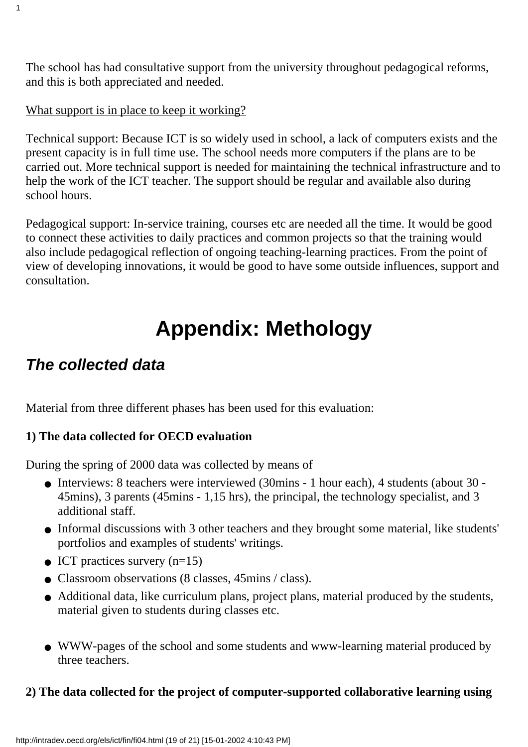The school has had consultative support from the university throughout pedagogical reforms, and this is both appreciated and needed.

#### What support is in place to keep it working?

1

Technical support: Because ICT is so widely used in school, a lack of computers exists and the present capacity is in full time use. The school needs more computers if the plans are to be carried out. More technical support is needed for maintaining the technical infrastructure and to help the work of the ICT teacher. The support should be regular and available also during school hours.

Pedagogical support: In-service training, courses etc are needed all the time. It would be good to connect these activities to daily practices and common projects so that the training would also include pedagogical reflection of ongoing teaching-learning practices. From the point of view of developing innovations, it would be good to have some outside influences, support and consultation.

# **Appendix: Methology**

#### *The collected data*

Material from three different phases has been used for this evaluation:

#### **1) The data collected for OECD evaluation**

During the spring of 2000 data was collected by means of

- Interviews: 8 teachers were interviewed (30mins 1 hour each), 4 students (about 30 -45mins), 3 parents (45mins - 1,15 hrs), the principal, the technology specialist, and 3 additional staff.
- Informal discussions with 3 other teachers and they brought some material, like students' portfolios and examples of students' writings.
- ICT practices survery  $(n=15)$
- Classroom observations (8 classes, 45mins / class).
- Additional data, like curriculum plans, project plans, material produced by the students, material given to students during classes etc.
- WWW-pages of the school and some students and www-learning material produced by three teachers.

#### **2) The data collected for the project of computer-supported collaborative learning using**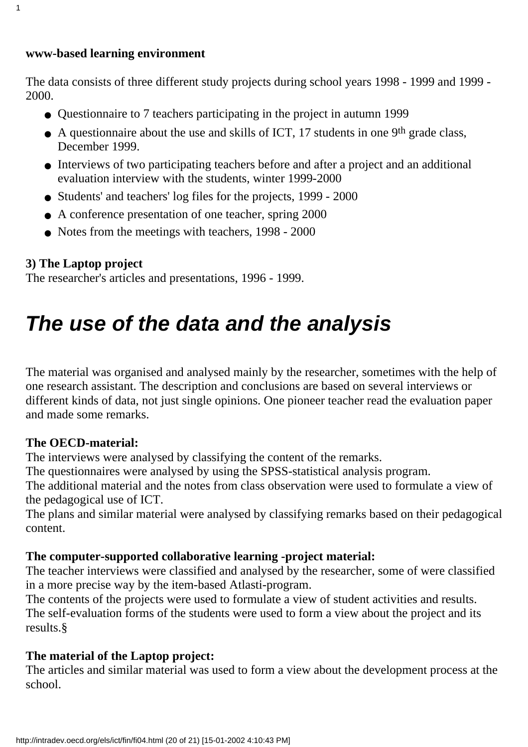#### **www-based learning environment**

1

The data consists of three different study projects during school years 1998 - 1999 and 1999 - 2000.

- Questionnaire to 7 teachers participating in the project in autumn 1999
- A questionnaire about the use and skills of ICT, 17 students in one 9<sup>th</sup> grade class, December 1999.
- Interviews of two participating teachers before and after a project and an additional evaluation interview with the students, winter 1999-2000
- Students' and teachers' log files for the projects, 1999 2000
- A conference presentation of one teacher, spring 2000
- Notes from the meetings with teachers, 1998 2000

#### **3) The Laptop project**

The researcher's articles and presentations, 1996 - 1999.

# *The use of the data and the analysis*

The material was organised and analysed mainly by the researcher, sometimes with the help of one research assistant. The description and conclusions are based on several interviews or different kinds of data, not just single opinions. One pioneer teacher read the evaluation paper and made some remarks.

#### **The OECD-material:**

The interviews were analysed by classifying the content of the remarks.

The questionnaires were analysed by using the SPSS-statistical analysis program.

The additional material and the notes from class observation were used to formulate a view of the pedagogical use of ICT.

The plans and similar material were analysed by classifying remarks based on their pedagogical content.

#### **The computer-supported collaborative learning -project material:**

The teacher interviews were classified and analysed by the researcher, some of were classified in a more precise way by the item-based Atlasti-program.

The contents of the projects were used to formulate a view of student activities and results. The self-evaluation forms of the students were used to form a view about the project and its results.§

#### **The material of the Laptop project:**

The articles and similar material was used to form a view about the development process at the school.